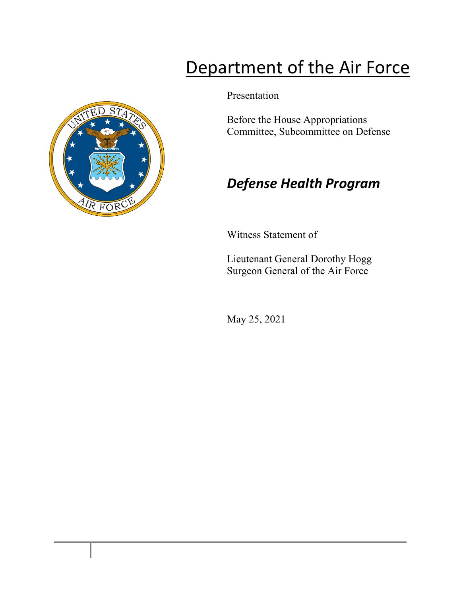# Department of the Air Force

Presentation

Before the House Appropriations Committee, Subcommittee on Defense

## *Defense Health Program*

Witness Statement of

Lieutenant General Dorothy Hogg Surgeon General of the Air Force

May 25, 2021

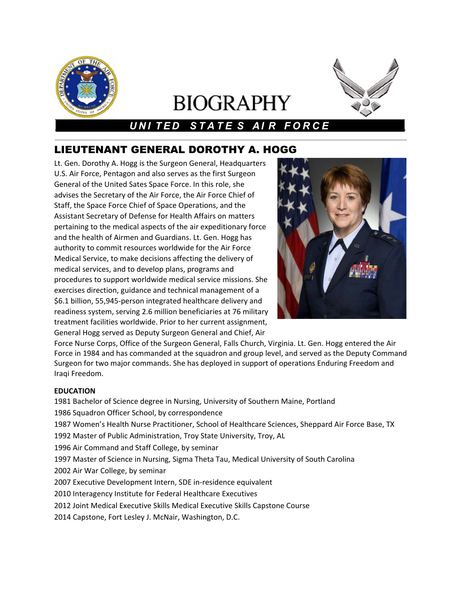

# **BIOGRAPHY**



### *UNI TED STATE S AI R FORCE*

### LIEUTENANT GENERAL DOROTHY A. HOGG

Lt. Gen. Dorothy A. Hogg is the Surgeon General, Headquarters U.S. Air Force, Pentagon and also serves as the first Surgeon General of the United Sates Space Force. In this role, she advises the Secretary of the Air Force, the Air Force Chief of Staff, the Space Force Chief of Space Operations, and the Assistant Secretary of Defense for Health Affairs on matters pertaining to the medical aspects of the air expeditionary force and the health of Airmen and Guardians. Lt. Gen. Hogg has authority to commit resources worldwide for the Air Force Medical Service, to make decisions affecting the delivery of medical services, and to develop plans, programs and procedures to support worldwide medical service missions. She exercises direction, guidance and technical management of a \$6.1 billion, 55,945-person integrated healthcare delivery and readiness system, serving 2.6 million beneficiaries at 76 military treatment facilities worldwide. Prior to her current assignment, General Hogg served as Deputy Surgeon General and Chief, Air



Force Nurse Corps, Office of the Surgeon General, Falls Church, Virginia. Lt. Gen. Hogg entered the Air Force in 1984 and has commanded at the squadron and group level, and served as the Deputy Command Surgeon for two major commands. She has deployed in support of operations Enduring Freedom and Iraqi Freedom.

#### **EDUCATION**

 Bachelor of Science degree in Nursing, University of Southern Maine, Portland Squadron Officer School, by correspondence Women's Health Nurse Practitioner, School of Healthcare Sciences, Sheppard Air Force Base, TX Master of Public Administration, Troy State University, Troy, AL Air Command and Staff College, by seminar Master of Science in Nursing, Sigma Theta Tau, Medical University of South Carolina Air War College, by seminar Executive Development Intern, SDE in-residence equivalent Interagency Institute for Federal Healthcare Executives Joint Medical Executive Skills Medical Executive Skills Capstone Course Capstone, Fort Lesley J. McNair, Washington, D.C.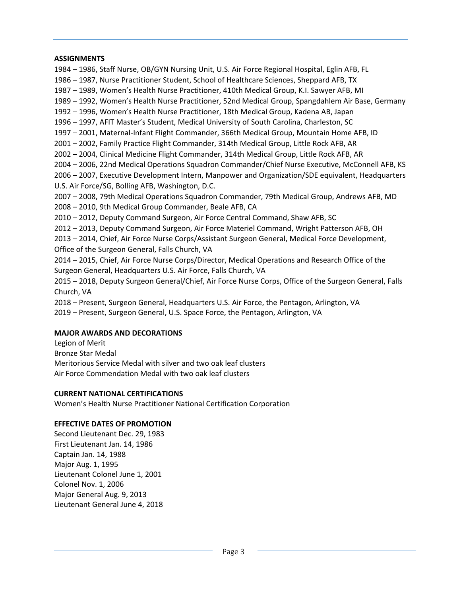#### **ASSIGNMENTS**

 – 1986, Staff Nurse, OB/GYN Nursing Unit, U.S. Air Force Regional Hospital, Eglin AFB, FL – 1987, Nurse Practitioner Student, School of Healthcare Sciences, Sheppard AFB, TX – 1989, Women's Health Nurse Practitioner, 410th Medical Group, K.I. Sawyer AFB, MI – 1992, Women's Health Nurse Practitioner, 52nd Medical Group, Spangdahlem Air Base, Germany – 1996, Women's Health Nurse Practitioner, 18th Medical Group, Kadena AB, Japan – 1997, AFIT Master's Student, Medical University of South Carolina, Charleston, SC – 2001, Maternal-Infant Flight Commander, 366th Medical Group, Mountain Home AFB, ID – 2002, Family Practice Flight Commander, 314th Medical Group, Little Rock AFB, AR – 2004, Clinical Medicine Flight Commander, 314th Medical Group, Little Rock AFB, AR – 2006, 22nd Medical Operations Squadron Commander/Chief Nurse Executive, McConnell AFB, KS – 2007, Executive Development Intern, Manpower and Organization/SDE equivalent, Headquarters U.S. Air Force/SG, Bolling AFB, Washington, D.C. – 2008, 79th Medical Operations Squadron Commander, 79th Medical Group, Andrews AFB, MD – 2010, 9th Medical Group Commander, Beale AFB, CA – 2012, Deputy Command Surgeon, Air Force Central Command, Shaw AFB, SC – 2013, Deputy Command Surgeon, Air Force Materiel Command, Wright Patterson AFB, OH – 2014, Chief, Air Force Nurse Corps/Assistant Surgeon General, Medical Force Development, Office of the Surgeon General, Falls Church, VA – 2015, Chief, Air Force Nurse Corps/Director, Medical Operations and Research Office of the Surgeon General, Headquarters U.S. Air Force, Falls Church, VA – 2018, Deputy Surgeon General/Chief, Air Force Nurse Corps, Office of the Surgeon General, Falls Church, VA – Present, Surgeon General, Headquarters U.S. Air Force, the Pentagon, Arlington, VA

## 2019 – Present, Surgeon General, U.S. Space Force, the Pentagon, Arlington, VA

#### **MAJOR AWARDS AND DECORATIONS**

Legion of Merit Bronze Star Medal Meritorious Service Medal with silver and two oak leaf clusters Air Force Commendation Medal with two oak leaf clusters

#### **CURRENT NATIONAL CERTIFICATIONS**

Women's Health Nurse Practitioner National Certification Corporation

#### **EFFECTIVE DATES OF PROMOTION**

Second Lieutenant Dec. 29, 1983 First Lieutenant Jan. 14, 1986 Captain Jan. 14, 1988 Major Aug. 1, 1995 Lieutenant Colonel June 1, 2001 Colonel Nov. 1, 2006 Major General Aug. 9, 2013 Lieutenant General June 4, 2018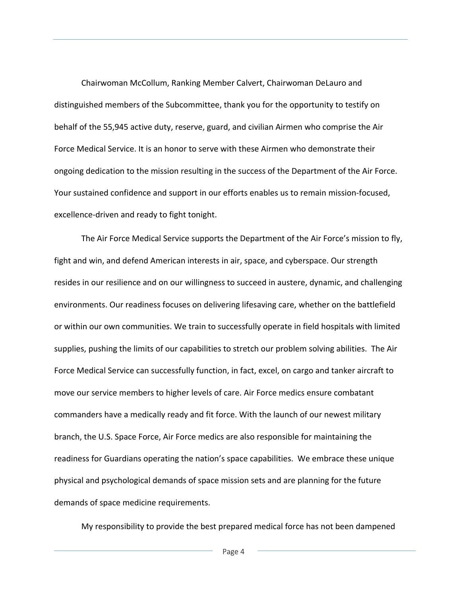Chairwoman McCollum, Ranking Member Calvert, Chairwoman DeLauro and distinguished members of the Subcommittee, thank you for the opportunity to testify on behalf of the 55,945 active duty, reserve, guard, and civilian Airmen who comprise the Air Force Medical Service. It is an honor to serve with these Airmen who demonstrate their ongoing dedication to the mission resulting in the success of the Department of the Air Force. Your sustained confidence and support in our efforts enables us to remain mission-focused, excellence-driven and ready to fight tonight.

The Air Force Medical Service supports the Department of the Air Force's mission to fly, fight and win, and defend American interests in air, space, and cyberspace. Our strength resides in our resilience and on our willingness to succeed in austere, dynamic, and challenging environments. Our readiness focuses on delivering lifesaving care, whether on the battlefield or within our own communities. We train to successfully operate in field hospitals with limited supplies, pushing the limits of our capabilities to stretch our problem solving abilities. The Air Force Medical Service can successfully function, in fact, excel, on cargo and tanker aircraft to move our service members to higher levels of care. Air Force medics ensure combatant commanders have a medically ready and fit force. With the launch of our newest military branch, the U.S. Space Force, Air Force medics are also responsible for maintaining the readiness for Guardians operating the nation's space capabilities. We embrace these unique physical and psychological demands of space mission sets and are planning for the future demands of space medicine requirements.

My responsibility to provide the best prepared medical force has not been dampened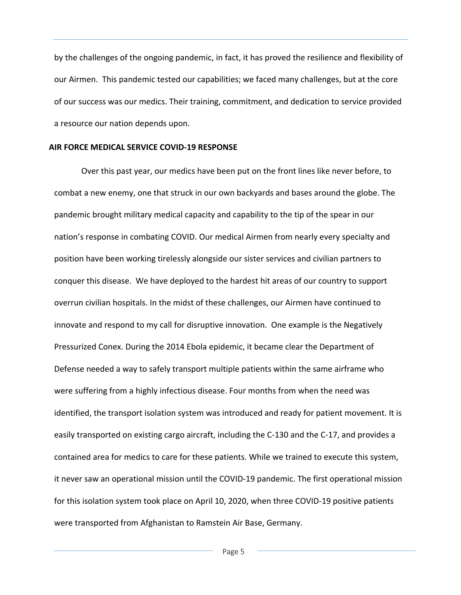by the challenges of the ongoing pandemic, in fact, it has proved the resilience and flexibility of our Airmen. This pandemic tested our capabilities; we faced many challenges, but at the core of our success was our medics. Their training, commitment, and dedication to service provided a resource our nation depends upon.

#### **AIR FORCE MEDICAL SERVICE COVID-19 RESPONSE**

Over this past year, our medics have been put on the front lines like never before, to combat a new enemy, one that struck in our own backyards and bases around the globe. The pandemic brought military medical capacity and capability to the tip of the spear in our nation's response in combating COVID. Our medical Airmen from nearly every specialty and position have been working tirelessly alongside our sister services and civilian partners to conquer this disease. We have deployed to the hardest hit areas of our country to support overrun civilian hospitals. In the midst of these challenges, our Airmen have continued to innovate and respond to my call for disruptive innovation. One example is the Negatively Pressurized Conex. During the 2014 Ebola epidemic, it became clear the Department of Defense needed a way to safely transport multiple patients within the same airframe who were suffering from a highly infectious disease. Four months from when the need was identified, the transport isolation system was introduced and ready for patient movement. It is easily transported on existing cargo aircraft, including the C-130 and the C-17, and provides a contained area for medics to care for these patients. While we trained to execute this system, it never saw an operational mission until the COVID-19 pandemic. The first operational mission for this isolation system took place on April 10, 2020, when three COVID-19 positive patients were transported from Afghanistan to Ramstein Air Base, Germany.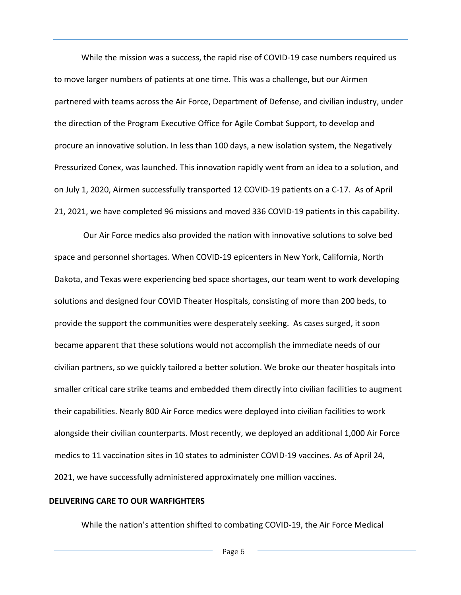While the mission was a success, the rapid rise of COVID-19 case numbers required us to move larger numbers of patients at one time. This was a challenge, but our Airmen partnered with teams across the Air Force, Department of Defense, and civilian industry, under the direction of the Program Executive Office for Agile Combat Support, to develop and procure an innovative solution. In less than 100 days, a new isolation system, the Negatively Pressurized Conex, was launched. This innovation rapidly went from an idea to a solution, and on July 1, 2020, Airmen successfully transported 12 COVID-19 patients on a C-17. As of April 21, 2021, we have completed 96 missions and moved 336 COVID-19 patients in this capability.

Our Air Force medics also provided the nation with innovative solutions to solve bed space and personnel shortages. When COVID-19 epicenters in New York, California, North Dakota, and Texas were experiencing bed space shortages, our team went to work developing solutions and designed four COVID Theater Hospitals, consisting of more than 200 beds, to provide the support the communities were desperately seeking. As cases surged, it soon became apparent that these solutions would not accomplish the immediate needs of our civilian partners, so we quickly tailored a better solution. We broke our theater hospitals into smaller critical care strike teams and embedded them directly into civilian facilities to augment their capabilities. Nearly 800 Air Force medics were deployed into civilian facilities to work alongside their civilian counterparts. Most recently, we deployed an additional 1,000 Air Force medics to 11 vaccination sites in 10 states to administer COVID-19 vaccines. As of April 24, 2021, we have successfully administered approximately one million vaccines.

#### **DELIVERING CARE TO OUR WARFIGHTERS**

While the nation's attention shifted to combating COVID-19, the Air Force Medical

Page 6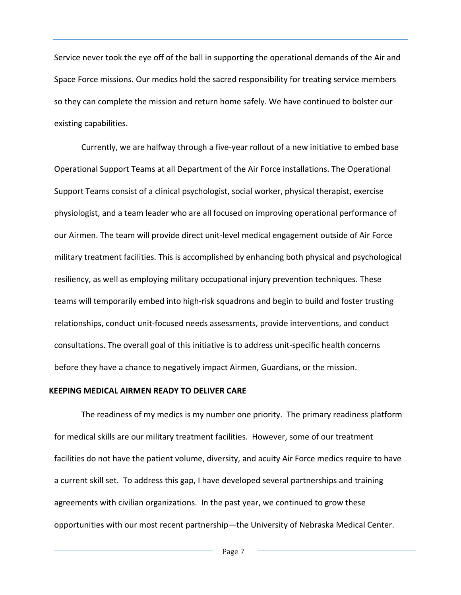Service never took the eye off of the ball in supporting the operational demands of the Air and Space Force missions. Our medics hold the sacred responsibility for treating service members so they can complete the mission and return home safely. We have continued to bolster our existing capabilities.

Currently, we are halfway through a five-year rollout of a new initiative to embed base Operational Support Teams at all Department of the Air Force installations. The Operational Support Teams consist of a clinical psychologist, social worker, physical therapist, exercise physiologist, and a team leader who are all focused on improving operational performance of our Airmen. The team will provide direct unit-level medical engagement outside of Air Force military treatment facilities. This is accomplished by enhancing both physical and psychological resiliency, as well as employing military occupational injury prevention techniques. These teams will temporarily embed into high-risk squadrons and begin to build and foster trusting relationships, conduct unit-focused needs assessments, provide interventions, and conduct consultations. The overall goal of this initiative is to address unit-specific health concerns before they have a chance to negatively impact Airmen, Guardians, or the mission.

#### **KEEPING MEDICAL AIRMEN READY TO DELIVER CARE**

The readiness of my medics is my number one priority. The primary readiness platform for medical skills are our military treatment facilities. However, some of our treatment facilities do not have the patient volume, diversity, and acuity Air Force medics require to have a current skill set. To address this gap, I have developed several partnerships and training agreements with civilian organizations. In the past year, we continued to grow these opportunities with our most recent partnership—the University of Nebraska Medical Center.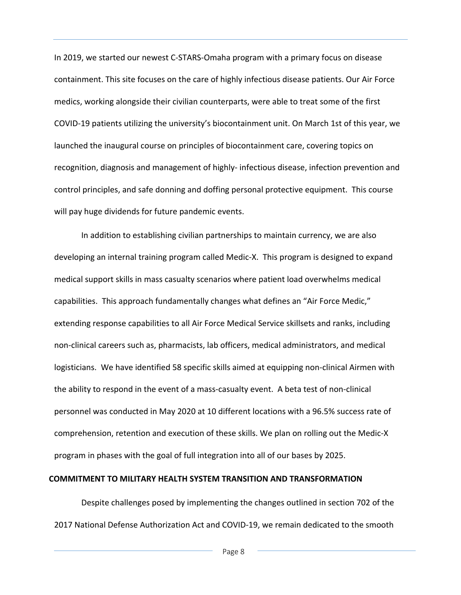In 2019, we started our newest C-STARS-Omaha program with a primary focus on disease containment. This site focuses on the care of highly infectious disease patients. Our Air Force medics, working alongside their civilian counterparts, were able to treat some of the first COVID-19 patients utilizing the university's biocontainment unit. On March 1st of this year, we launched the inaugural course on principles of biocontainment care, covering topics on recognition, diagnosis and management of highly- infectious disease, infection prevention and control principles, and safe donning and doffing personal protective equipment. This course will pay huge dividends for future pandemic events.

In addition to establishing civilian partnerships to maintain currency, we are also developing an internal training program called Medic-X. This program is designed to expand medical support skills in mass casualty scenarios where patient load overwhelms medical capabilities. This approach fundamentally changes what defines an "Air Force Medic," extending response capabilities to all Air Force Medical Service skillsets and ranks, including non-clinical careers such as, pharmacists, lab officers, medical administrators, and medical logisticians. We have identified 58 specific skills aimed at equipping non-clinical Airmen with the ability to respond in the event of a mass-casualty event. A beta test of non-clinical personnel was conducted in May 2020 at 10 different locations with a 96.5% success rate of comprehension, retention and execution of these skills. We plan on rolling out the Medic-X program in phases with the goal of full integration into all of our bases by 2025.

#### **COMMITMENT TO MILITARY HEALTH SYSTEM TRANSITION AND TRANSFORMATION**

Despite challenges posed by implementing the changes outlined in section 702 of the 2017 National Defense Authorization Act and COVID-19, we remain dedicated to the smooth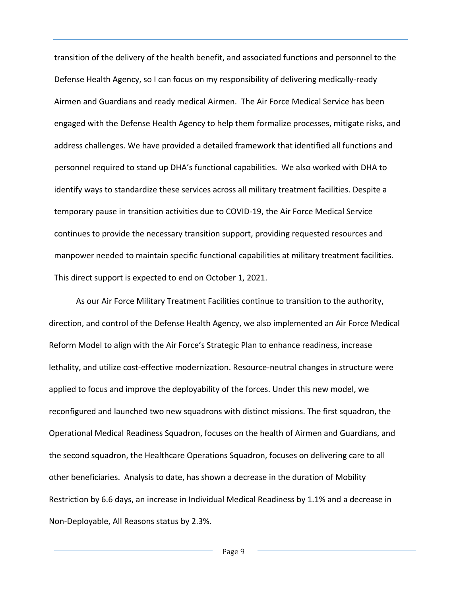transition of the delivery of the health benefit, and associated functions and personnel to the Defense Health Agency, so I can focus on my responsibility of delivering medically-ready Airmen and Guardians and ready medical Airmen. The Air Force Medical Service has been engaged with the Defense Health Agency to help them formalize processes, mitigate risks, and address challenges. We have provided a detailed framework that identified all functions and personnel required to stand up DHA's functional capabilities. We also worked with DHA to identify ways to standardize these services across all military treatment facilities. Despite a temporary pause in transition activities due to COVID-19, the Air Force Medical Service continues to provide the necessary transition support, providing requested resources and manpower needed to maintain specific functional capabilities at military treatment facilities. This direct support is expected to end on October 1, 2021.

As our Air Force Military Treatment Facilities continue to transition to the authority, direction, and control of the Defense Health Agency, we also implemented an Air Force Medical Reform Model to align with the Air Force's Strategic Plan to enhance readiness, increase lethality, and utilize cost-effective modernization. Resource-neutral changes in structure were applied to focus and improve the deployability of the forces. Under this new model, we reconfigured and launched two new squadrons with distinct missions. The first squadron, the Operational Medical Readiness Squadron, focuses on the health of Airmen and Guardians, and the second squadron, the Healthcare Operations Squadron, focuses on delivering care to all other beneficiaries. Analysis to date, has shown a decrease in the duration of Mobility Restriction by 6.6 days, an increase in Individual Medical Readiness by 1.1% and a decrease in Non-Deployable, All Reasons status by 2.3%.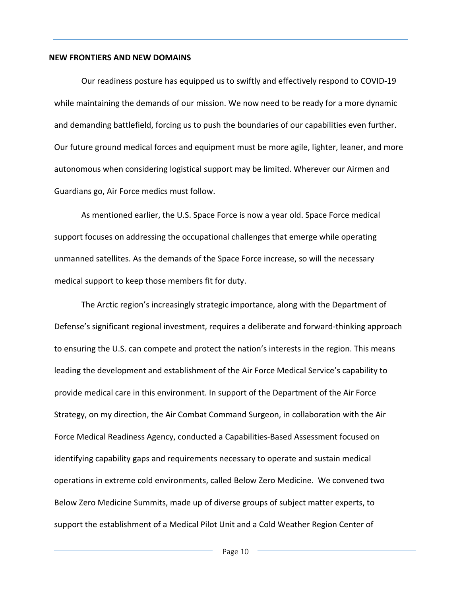#### **NEW FRONTIERS AND NEW DOMAINS**

Our readiness posture has equipped us to swiftly and effectively respond to COVID-19 while maintaining the demands of our mission. We now need to be ready for a more dynamic and demanding battlefield, forcing us to push the boundaries of our capabilities even further. Our future ground medical forces and equipment must be more agile, lighter, leaner, and more autonomous when considering logistical support may be limited. Wherever our Airmen and Guardians go, Air Force medics must follow.

As mentioned earlier, the U.S. Space Force is now a year old. Space Force medical support focuses on addressing the occupational challenges that emerge while operating unmanned satellites. As the demands of the Space Force increase, so will the necessary medical support to keep those members fit for duty.

The Arctic region's increasingly strategic importance, along with the Department of Defense's significant regional investment, requires a deliberate and forward-thinking approach to ensuring the U.S. can compete and protect the nation's interests in the region. This means leading the development and establishment of the Air Force Medical Service's capability to provide medical care in this environment. In support of the Department of the Air Force Strategy, on my direction, the Air Combat Command Surgeon, in collaboration with the Air Force Medical Readiness Agency, conducted a Capabilities-Based Assessment focused on identifying capability gaps and requirements necessary to operate and sustain medical operations in extreme cold environments, called Below Zero Medicine. We convened two Below Zero Medicine Summits, made up of diverse groups of subject matter experts, to support the establishment of a Medical Pilot Unit and a Cold Weather Region Center of